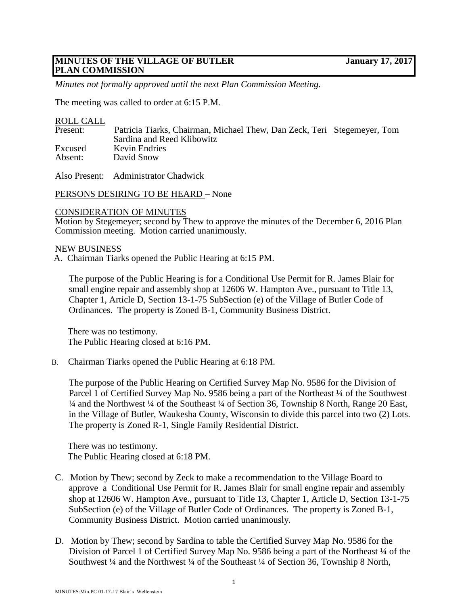# **MINUTES OF THE VILLAGE OF BUTLER January 17, 2017 PLAN COMMISSION**

*Minutes not formally approved until the next Plan Commission Meeting.*

The meeting was called to order at 6:15 P.M.

### ROLL CALL

| Present: | Patricia Tiarks, Chairman, Michael Thew, Dan Zeck, Teri Stegemeyer, Tom |  |
|----------|-------------------------------------------------------------------------|--|
|          | Sardina and Reed Klibowitz                                              |  |
| Excused  | Kevin Endries                                                           |  |
| Absent:  | David Snow                                                              |  |
|          |                                                                         |  |

Also Present: Administrator Chadwick

PERSONS DESIRING TO BE HEARD – None

#### CONSIDERATION OF MINUTES

Motion by Stegemeyer; second by Thew to approve the minutes of the December 6, 2016 Plan Commission meeting. Motion carried unanimously.

#### NEW BUSINESS

A. Chairman Tiarks opened the Public Hearing at 6:15 PM.

 The purpose of the Public Hearing is for a Conditional Use Permit for R. James Blair for small engine repair and assembly shop at 12606 W. Hampton Ave., pursuant to Title 13, Chapter 1, Article D, Section 13-1-75 SubSection (e) of the Village of Butler Code of Ordinances. The property is Zoned B-1, Community Business District.

There was no testimony. The Public Hearing closed at 6:16 PM.

B. Chairman Tiarks opened the Public Hearing at 6:18 PM.

 The purpose of the Public Hearing on Certified Survey Map No. 9586 for the Division of Parcel 1 of Certified Survey Map No. 9586 being a part of the Northeast <sup>1</sup>/4 of the Southwest <sup>1/4</sup> and the Northwest <sup>1/4</sup> of the Southeast <sup>1/4</sup> of Section 36, Township 8 North, Range 20 East, in the Village of Butler, Waukesha County, Wisconsin to divide this parcel into two (2) Lots. The property is Zoned R-1, Single Family Residential District.

There was no testimony. The Public Hearing closed at 6:18 PM.

- C. Motion by Thew; second by Zeck to make a recommendation to the Village Board to approve a Conditional Use Permit for R. James Blair for small engine repair and assembly shop at 12606 W. Hampton Ave., pursuant to Title 13, Chapter 1, Article D, Section 13-1-75 SubSection (e) of the Village of Butler Code of Ordinances. The property is Zoned B-1, Community Business District. Motion carried unanimously.
- D. Motion by Thew; second by Sardina to table the Certified Survey Map No. 9586 for the Division of Parcel 1 of Certified Survey Map No. 9586 being a part of the Northeast 1/4 of the Southwest <sup>1</sup>/4 and the Northwest <sup>1</sup>/4 of the Southeast <sup>1</sup>/4 of Section 36, Township 8 North,